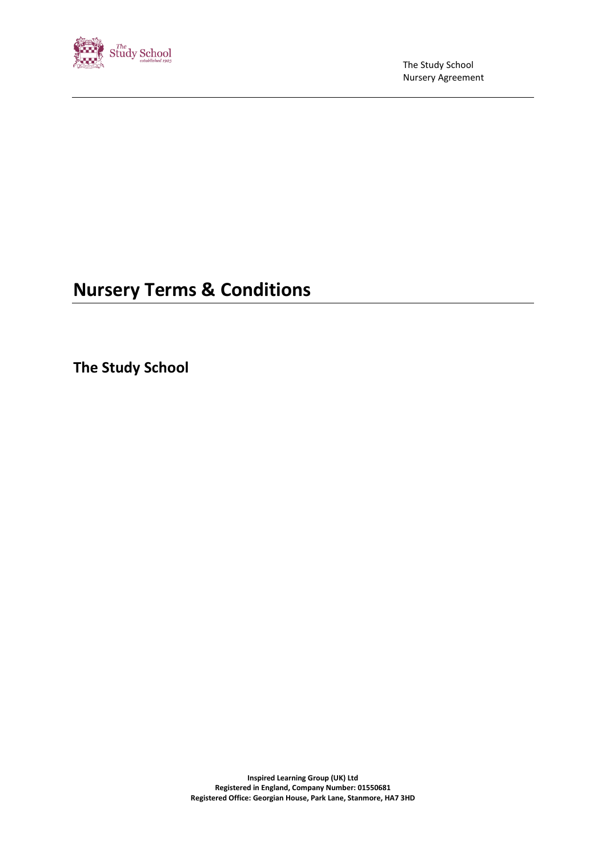

The Study School Nursery Agreement

# **Nursery Terms & Conditions**

**The Study School**

**Inspired Learning Group (UK) Ltd Registered in England, Company Number: 01550681 Registered Office: Georgian House, Park Lane, Stanmore, HA7 3HD**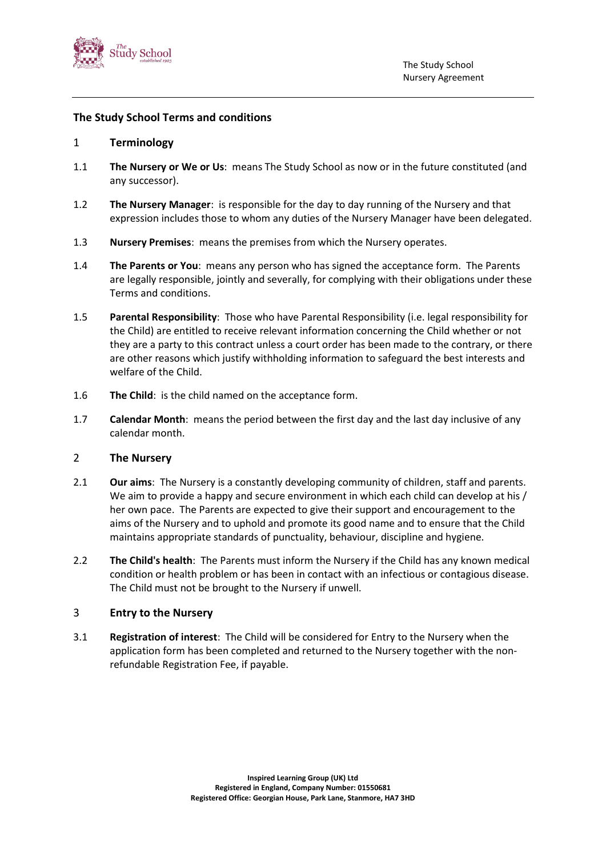

#### **The Study School Terms and conditions**

#### 1 **Terminology**

- 1.1 **The Nursery or We or Us**: means The Study School as now or in the future constituted (and any successor).
- 1.2 **The Nursery Manager**: is responsible for the day to day running of the Nursery and that expression includes those to whom any duties of the Nursery Manager have been delegated.
- 1.3 **Nursery Premises**: means the premises from which the Nursery operates.
- 1.4 **The Parents or You**: means any person who has signed the acceptance form. The Parents are legally responsible, jointly and severally, for complying with their obligations under these Terms and conditions.
- 1.5 **Parental Responsibility**: Those who have Parental Responsibility (i.e. legal responsibility for the Child) are entitled to receive relevant information concerning the Child whether or not they are a party to this contract unless a court order has been made to the contrary, or there are other reasons which justify withholding information to safeguard the best interests and welfare of the Child.
- 1.6 **The Child**: is the child named on the acceptance form.
- 1.7 **Calendar Month**: means the period between the first day and the last day inclusive of any calendar month.

#### 2 **The Nursery**

- 2.1 **Our aims**: The Nursery is a constantly developing community of children, staff and parents. We aim to provide a happy and secure environment in which each child can develop at his / her own pace. The Parents are expected to give their support and encouragement to the aims of the Nursery and to uphold and promote its good name and to ensure that the Child maintains appropriate standards of punctuality, behaviour, discipline and hygiene.
- 2.2 **The Child's health**: The Parents must inform the Nursery if the Child has any known medical condition or health problem or has been in contact with an infectious or contagious disease. The Child must not be brought to the Nursery if unwell.

#### 3 **Entry to the Nursery**

3.1 **Registration of interest**: The Child will be considered for Entry to the Nursery when the application form has been completed and returned to the Nursery together with the nonrefundable Registration Fee, if payable.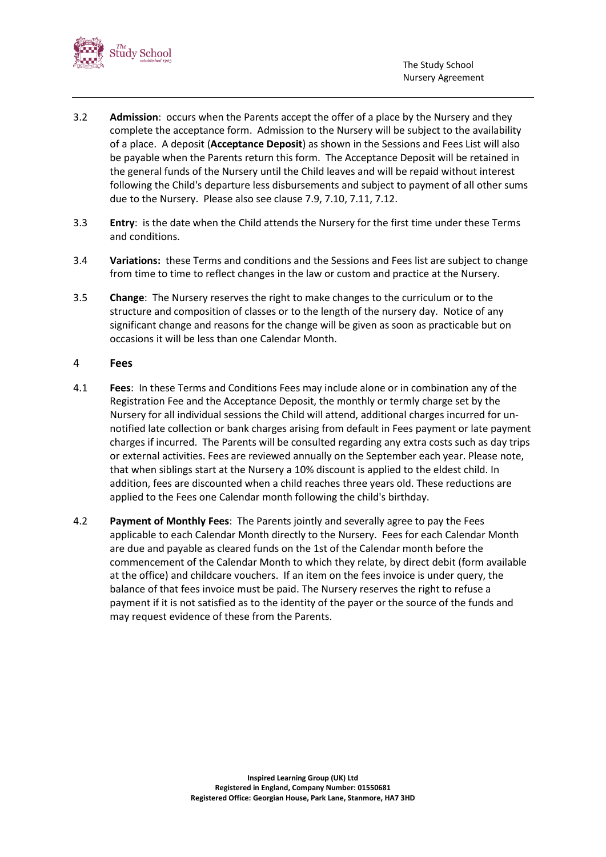

- 3.2 **Admission**: occurs when the Parents accept the offer of a place by the Nursery and they complete the acceptance form. Admission to the Nursery will be subject to the availability of a place. A deposit (**Acceptance Deposit**) as shown in the Sessions and Fees List will also be payable when the Parents return this form. The Acceptance Deposit will be retained in the general funds of the Nursery until the Child leaves and will be repaid without interest following the Child's departure less disbursements and subject to payment of all other sums due to the Nursery. Please also see clause 7.9, 7.10, 7.11, 7.12.
- <span id="page-2-0"></span>3.3 **Entry**: is the date when the Child attends the Nursery for the first time under these Terms and conditions.
- 3.4 **Variations:** these Terms and conditions and the Sessions and Fees list are subject to change from time to time to reflect changes in the law or custom and practice at the Nursery.
- 3.5 **Change**: The Nursery reserves the right to make changes to the curriculum or to the structure and composition of classes or to the length of the nursery day. Notice of any significant change and reasons for the change will be given as soon as practicable but on occasions it will be less than one Calendar Month.

#### 4 **Fees**

- 4.1 **Fees**: In these Terms and Conditions Fees may include alone or in combination any of the Registration Fee and the Acceptance Deposit, the monthly or termly charge set by the Nursery for all individual sessions the Child will attend, additional charges incurred for unnotified late collection or bank charges arising from default in Fees payment or late payment charges if incurred. The Parents will be consulted regarding any extra costs such as day trips or external activities. Fees are reviewed annually on the September each year. Please note, that when siblings start at the Nursery a 10% discount is applied to the eldest child. In addition, fees are discounted when a child reaches three years old. These reductions are applied to the Fees one Calendar month following the child's birthday.
- 4.2 **Payment of Monthly Fees**: The Parents jointly and severally agree to pay the Fees applicable to each Calendar Month directly to the Nursery. Fees for each Calendar Month are due and payable as cleared funds on the 1st of the Calendar month before the commencement of the Calendar Month to which they relate, by direct debit (form available at the office) and childcare vouchers. If an item on the fees invoice is under query, the balance of that fees invoice must be paid. The Nursery reserves the right to refuse a payment if it is not satisfied as to the identity of the payer or the source of the funds and may request evidence of these from the Parents.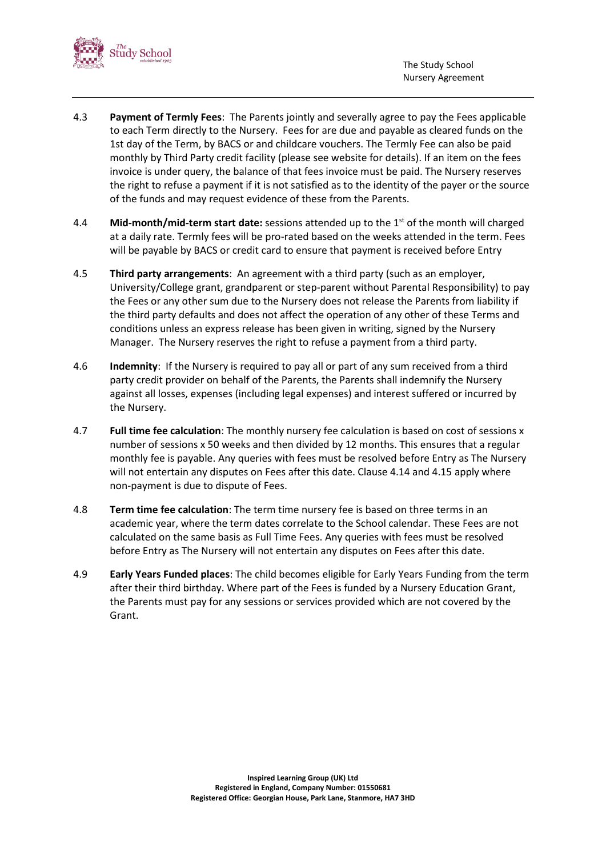



- 4.3 **Payment of Termly Fees**: The Parents jointly and severally agree to pay the Fees applicable to each Term directly to the Nursery. Fees for are due and payable as cleared funds on the 1st day of the Term, by BACS or and childcare vouchers. The Termly Fee can also be paid monthly by Third Party credit facility (please see website for details). If an item on the fees invoice is under query, the balance of that fees invoice must be paid. The Nursery reserves the right to refuse a payment if it is not satisfied as to the identity of the payer or the source of the funds and may request evidence of these from the Parents.
- 4.4 **Mid-month/mid-term start date:** sessions attended up to the 1st of the month will charged at a daily rate. Termly fees will be pro-rated based on the weeks attended in the term. Fees will be payable by BACS or credit card to ensure that payment is received before Entry
- 4.5 **Third party arrangements**: An agreement with a third party (such as an employer, University/College grant, grandparent or step-parent without Parental Responsibility) to pay the Fees or any other sum due to the Nursery does not release the Parents from liability if the third party defaults and does not affect the operation of any other of these Terms and conditions unless an express release has been given in writing, signed by the Nursery Manager. The Nursery reserves the right to refuse a payment from a third party.
- 4.6 **Indemnity**: If the Nursery is required to pay all or part of any sum received from a third party credit provider on behalf of the Parents, the Parents shall indemnify the Nursery against all losses, expenses (including legal expenses) and interest suffered or incurred by the Nursery.
- 4.7 **Full time fee calculation**: The monthly nursery fee calculation is based on cost of sessions x number of sessions x 50 weeks and then divided by 12 months. This ensures that a regular monthly fee is payable. Any queries with fees must be resolved before Entry as The Nursery will not entertain any disputes on Fees after this date. Clause 4.14 and 4.15 apply where non-payment is due to dispute of Fees.
- 4.8 **Term time fee calculation**: The term time nursery fee is based on three terms in an academic year, where the term dates correlate to the School calendar. These Fees are not calculated on the same basis as Full Time Fees. Any queries with fees must be resolved before Entry as The Nursery will not entertain any disputes on Fees after this date.
- 4.9 **Early Years Funded places**: The child becomes eligible for Early Years Funding from the term after their third birthday. Where part of the Fees is funded by a Nursery Education Grant, the Parents must pay for any sessions or services provided which are not covered by the Grant.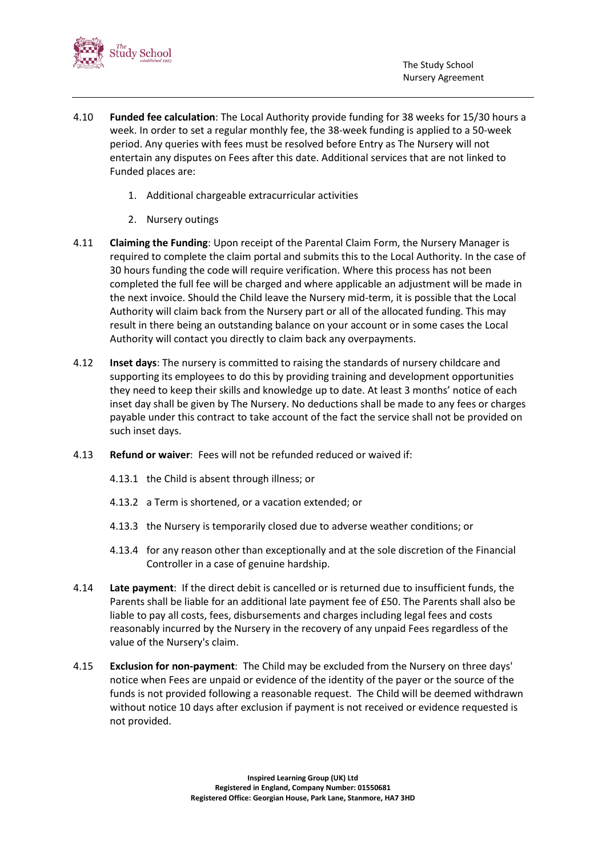

- 4.10 **Funded fee calculation**: The Local Authority provide funding for 38 weeks for 15/30 hours a week. In order to set a regular monthly fee, the 38-week funding is applied to a 50-week period. Any queries with fees must be resolved before Entry as The Nursery will not entertain any disputes on Fees after this date. Additional services that are not linked to Funded places are:
	- 1. Additional chargeable extracurricular activities
	- 2. Nursery outings
- 4.11 **Claiming the Funding**: Upon receipt of the Parental Claim Form, the Nursery Manager is required to complete the claim portal and submits this to the Local Authority. In the case of 30 hours funding the code will require verification. Where this process has not been completed the full fee will be charged and where applicable an adjustment will be made in the next invoice. Should the Child leave the Nursery mid-term, it is possible that the Local Authority will claim back from the Nursery part or all of the allocated funding. This may result in there being an outstanding balance on your account or in some cases the Local Authority will contact you directly to claim back any overpayments.
- 4.12 **Inset days**: The nursery is committed to raising the standards of nursery childcare and supporting its employees to do this by providing training and development opportunities they need to keep their skills and knowledge up to date. At least 3 months' notice of each inset day shall be given by The Nursery. No deductions shall be made to any fees or charges payable under this contract to take account of the fact the service shall not be provided on such inset days.
- 4.13 **Refund or waiver**: Fees will not be refunded reduced or waived if:
	- 4.13.1 the Child is absent through illness; or
	- 4.13.2 a Term is shortened, or a vacation extended; or
	- 4.13.3 the Nursery is temporarily closed due to adverse weather conditions; or
	- 4.13.4 for any reason other than exceptionally and at the sole discretion of the Financial Controller in a case of genuine hardship.
- 4.14 **Late payment**: If the direct debit is cancelled or is returned due to insufficient funds, the Parents shall be liable for an additional late payment fee of £50. The Parents shall also be liable to pay all costs, fees, disbursements and charges including legal fees and costs reasonably incurred by the Nursery in the recovery of any unpaid Fees regardless of the value of the Nursery's claim.
- 4.15 **Exclusion for non-payment**: The Child may be excluded from the Nursery on three days' notice when Fees are unpaid or evidence of the identity of the payer or the source of the funds is not provided following a reasonable request. The Child will be deemed withdrawn without notice 10 days after exclusion if payment is not received or evidence requested is not provided.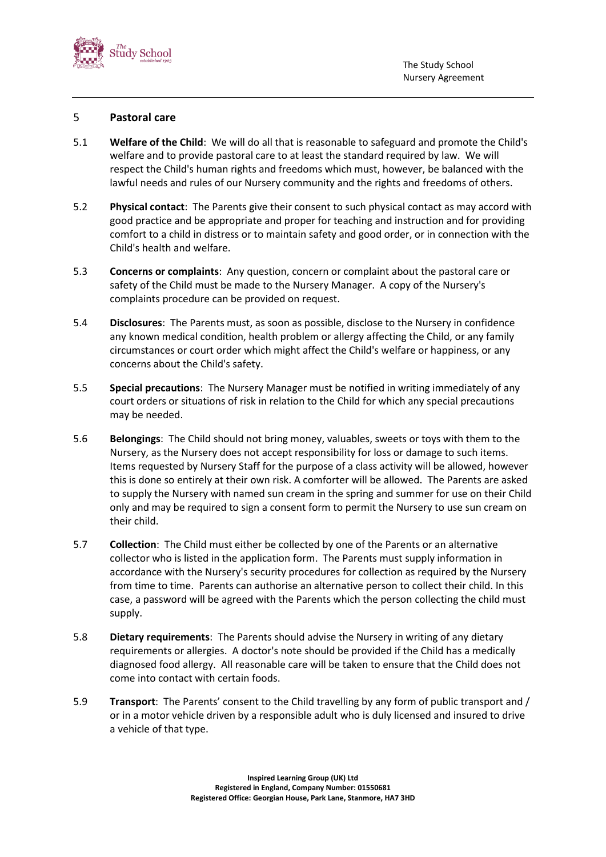

#### 5 **Pastoral care**

- 5.1 **Welfare of the Child**: We will do all that is reasonable to safeguard and promote the Child's welfare and to provide pastoral care to at least the standard required by law. We will respect the Child's human rights and freedoms which must, however, be balanced with the lawful needs and rules of our Nursery community and the rights and freedoms of others.
- 5.2 **Physical contact**: The Parents give their consent to such physical contact as may accord with good practice and be appropriate and proper for teaching and instruction and for providing comfort to a child in distress or to maintain safety and good order, or in connection with the Child's health and welfare.
- 5.3 **Concerns or complaints**: Any question, concern or complaint about the pastoral care or safety of the Child must be made to the Nursery Manager. A copy of the Nursery's complaints procedure can be provided on request.
- 5.4 **Disclosures**: The Parents must, as soon as possible, disclose to the Nursery in confidence any known medical condition, health problem or allergy affecting the Child, or any family circumstances or court order which might affect the Child's welfare or happiness, or any concerns about the Child's safety.
- 5.5 **Special precautions**: The Nursery Manager must be notified in writing immediately of any court orders or situations of risk in relation to the Child for which any special precautions may be needed.
- 5.6 **Belongings**: The Child should not bring money, valuables, sweets or toys with them to the Nursery, as the Nursery does not accept responsibility for loss or damage to such items. Items requested by Nursery Staff for the purpose of a class activity will be allowed, however this is done so entirely at their own risk. A comforter will be allowed. The Parents are asked to supply the Nursery with named sun cream in the spring and summer for use on their Child only and may be required to sign a consent form to permit the Nursery to use sun cream on their child.
- 5.7 **Collection**: The Child must either be collected by one of the Parents or an alternative collector who is listed in the application form. The Parents must supply information in accordance with the Nursery's security procedures for collection as required by the Nursery from time to time. Parents can authorise an alternative person to collect their child. In this case, a password will be agreed with the Parents which the person collecting the child must supply.
- 5.8 **Dietary requirements**: The Parents should advise the Nursery in writing of any dietary requirements or allergies. A doctor's note should be provided if the Child has a medically diagnosed food allergy. All reasonable care will be taken to ensure that the Child does not come into contact with certain foods.
- 5.9 **Transport**: The Parents' consent to the Child travelling by any form of public transport and / or in a motor vehicle driven by a responsible adult who is duly licensed and insured to drive a vehicle of that type.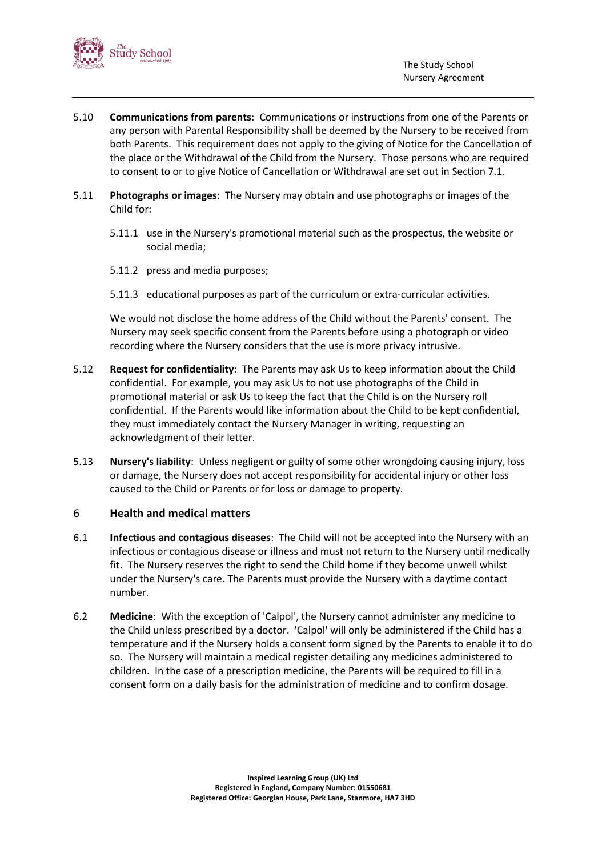

- 5.10 **Communications from parents**: Communications or instructions from one of the Parents or any person with Parental Responsibility shall be deemed by the Nursery to be received from both Parents. This requirement does not apply to the giving of Notice for the Cancellation of the place or the Withdrawal of the Child from the Nursery. Those persons who are required to consent to or to give Notice of Cancellation or Withdrawal are set out in Section [7.](#page-7-0)1.
- 5.11 **Photographs or images**: The Nursery may obtain and use photographs or images of the Child for:
	- 5.11.1 use in the Nursery's promotional material such as the prospectus, the website or social media;
	- 5.11.2 press and media purposes;
	- 5.11.3 educational purposes as part of the curriculum or extra-curricular activities.

We would not disclose the home address of the Child without the Parents' consent. The Nursery may seek specific consent from the Parents before using a photograph or video recording where the Nursery considers that the use is more privacy intrusive.

- 5.12 **Request for confidentiality**: The Parents may ask Us to keep information about the Child confidential. For example, you may ask Us to not use photographs of the Child in promotional material or ask Us to keep the fact that the Child is on the Nursery roll confidential. If the Parents would like information about the Child to be kept confidential, they must immediately contact the Nursery Manager in writing, requesting an acknowledgment of their letter.
- 5.13 **Nursery's liability**: Unless negligent or guilty of some other wrongdoing causing injury, loss or damage, the Nursery does not accept responsibility for accidental injury or other loss caused to the Child or Parents or for loss or damage to property.

#### 6 **Health and medical matters**

- 6.1 **Infectious and contagious diseases**: The Child will not be accepted into the Nursery with an infectious or contagious disease or illness and must not return to the Nursery until medically fit. The Nursery reserves the right to send the Child home if they become unwell whilst under the Nursery's care. The Parents must provide the Nursery with a daytime contact number.
- 6.2 **Medicine**: With the exception of 'Calpol', the Nursery cannot administer any medicine to the Child unless prescribed by a doctor. 'Calpol' will only be administered if the Child has a temperature and if the Nursery holds a consent form signed by the Parents to enable it to do so. The Nursery will maintain a medical register detailing any medicines administered to children. In the case of a prescription medicine, the Parents will be required to fill in a consent form on a daily basis for the administration of medicine and to confirm dosage.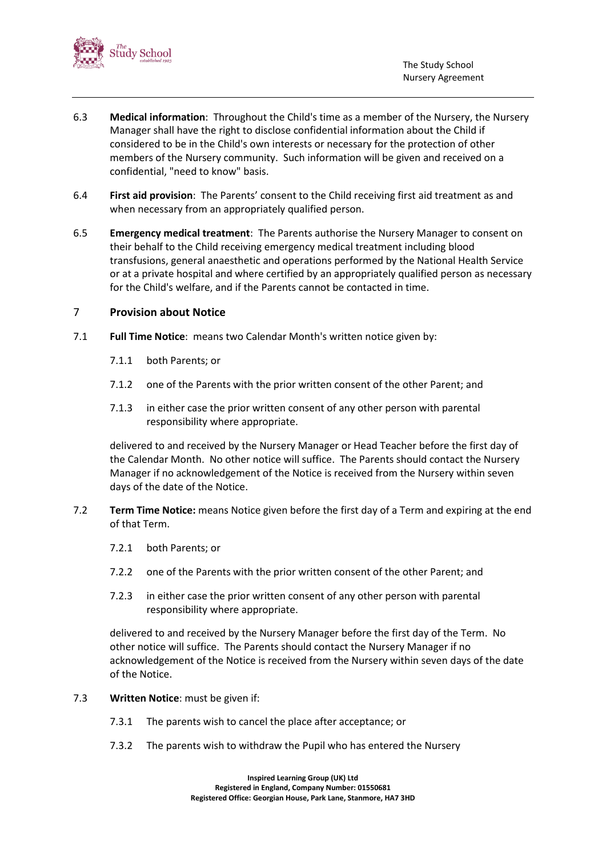

- 6.3 **Medical information**: Throughout the Child's time as a member of the Nursery, the Nursery Manager shall have the right to disclose confidential information about the Child if considered to be in the Child's own interests or necessary for the protection of other members of the Nursery community. Such information will be given and received on a confidential, "need to know" basis.
- 6.4 **First aid provision**: The Parents' consent to the Child receiving first aid treatment as and when necessary from an appropriately qualified person.
- 6.5 **Emergency medical treatment**: The Parents authorise the Nursery Manager to consent on their behalf to the Child receiving emergency medical treatment including blood transfusions, general anaesthetic and operations performed by the National Health Service or at a private hospital and where certified by an appropriately qualified person as necessary for the Child's welfare, and if the Parents cannot be contacted in time.

#### <span id="page-7-0"></span>7 **Provision about Notice**

- 7.1 **Full Time Notice**: means two Calendar Month's written notice given by:
	- 7.1.1 both Parents; or
	- 7.1.2 one of the Parents with the prior written consent of the other Parent; and
	- 7.1.3 in either case the prior written consent of any other person with parental responsibility where appropriate.

delivered to and received by the Nursery Manager or Head Teacher before the first day of the Calendar Month. No other notice will suffice. The Parents should contact the Nursery Manager if no acknowledgement of the Notice is received from the Nursery within seven days of the date of the Notice.

- <span id="page-7-1"></span>7.2 **Term Time Notice:** means Notice given before the first day of a Term and expiring at the end of that Term.
	- 7.2.1 both Parents; or
	- 7.2.2 one of the Parents with the prior written consent of the other Parent; and
	- 7.2.3 in either case the prior written consent of any other person with parental responsibility where appropriate.

delivered to and received by the Nursery Manager before the first day of the Term. No other notice will suffice. The Parents should contact the Nursery Manager if no acknowledgement of the Notice is received from the Nursery within seven days of the date of the Notice.

- 7.3 **Written Notice**: must be given if:
	- 7.3.1 The parents wish to cancel the place after acceptance; or
	- 7.3.2 The parents wish to withdraw the Pupil who has entered the Nursery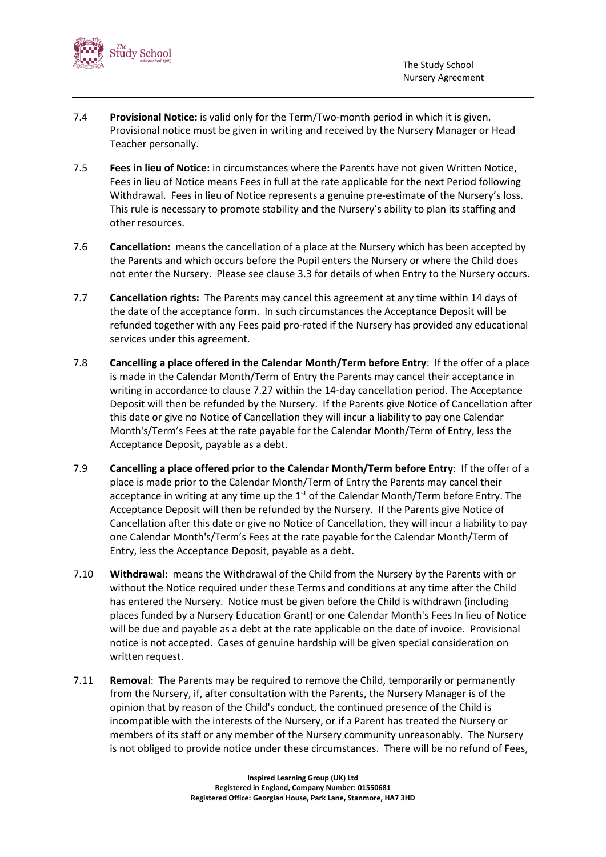

- 7.4 **Provisional Notice:** is valid only for the Term/Two-month period in which it is given. Provisional notice must be given in writing and received by the Nursery Manager or Head Teacher personally.
- 7.5 **Fees in lieu of Notice:** in circumstances where the Parents have not given Written Notice, Fees in lieu of Notice means Fees in full at the rate applicable for the next Period following Withdrawal. Fees in lieu of Notice represents a genuine pre-estimate of the Nursery's loss. This rule is necessary to promote stability and the Nursery's ability to plan its staffing and other resources.
- 7.6 **Cancellation:** means the cancellation of a place at the Nursery which has been accepted by the Parents and which occurs before the Pupil enters the Nursery or where the Child does not enter the Nursery. Please see clause [3.3](#page-2-0) for details of when Entry to the Nursery occurs.
- 7.7 **Cancellation rights:** The Parents may cancel this agreement at any time within 14 days of the date of the acceptance form. In such circumstances the Acceptance Deposit will be refunded together with any Fees paid pro-rated if the Nursery has provided any educational services under this agreement.
- 7.8 **Cancelling a place offered in the Calendar Month/Term before Entry**: If the offer of a place is made in the Calendar Month/Term of Entry the Parents may cancel their acceptance in writing in accordance to clause [7.27](#page-7-1) within the 14-day cancellation period. The Acceptance Deposit will then be refunded by the Nursery. If the Parents give Notice of Cancellation after this date or give no Notice of Cancellation they will incur a liability to pay one Calendar Month's/Term's Fees at the rate payable for the Calendar Month/Term of Entry, less the Acceptance Deposit, payable as a debt.
- 7.9 **Cancelling a place offered prior to the Calendar Month/Term before Entry**: If the offer of a place is made prior to the Calendar Month/Term of Entry the Parents may cancel their acceptance in writing at any time up the  $1<sup>st</sup>$  of the Calendar Month/Term before Entry. The Acceptance Deposit will then be refunded by the Nursery. If the Parents give Notice of Cancellation after this date or give no Notice of Cancellation, they will incur a liability to pay one Calendar Month's/Term's Fees at the rate payable for the Calendar Month/Term of Entry, less the Acceptance Deposit, payable as a debt.
- 7.10 **Withdrawal**: means the Withdrawal of the Child from the Nursery by the Parents with or without the Notice required under these Terms and conditions at any time after the Child has entered the Nursery. Notice must be given before the Child is withdrawn (including places funded by a Nursery Education Grant) or one Calendar Month's Fees In lieu of Notice will be due and payable as a debt at the rate applicable on the date of invoice. Provisional notice is not accepted. Cases of genuine hardship will be given special consideration on written request.
- 7.11 **Removal**: The Parents may be required to remove the Child, temporarily or permanently from the Nursery, if, after consultation with the Parents, the Nursery Manager is of the opinion that by reason of the Child's conduct, the continued presence of the Child is incompatible with the interests of the Nursery, or if a Parent has treated the Nursery or members of its staff or any member of the Nursery community unreasonably. The Nursery is not obliged to provide notice under these circumstances. There will be no refund of Fees,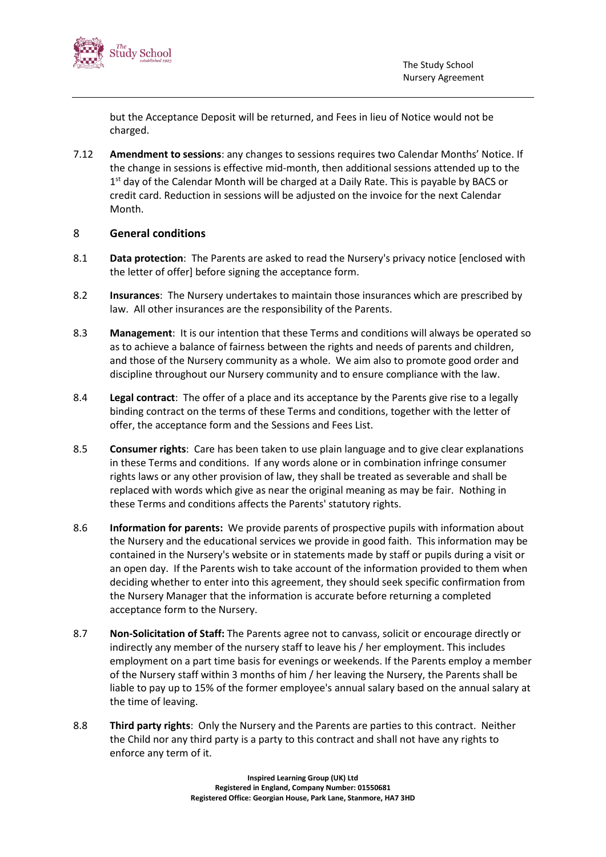

but the Acceptance Deposit will be returned, and Fees in lieu of Notice would not be charged.

7.12 **Amendment to sessions**: any changes to sessions requires two Calendar Months' Notice. If the change in sessions is effective mid-month, then additional sessions attended up to the 1<sup>st</sup> day of the Calendar Month will be charged at a Daily Rate. This is payable by BACS or credit card. Reduction in sessions will be adjusted on the invoice for the next Calendar Month.

#### 8 **General conditions**

- 8.1 **Data protection**: The Parents are asked to read the Nursery's privacy notice [enclosed with the letter of offer] before signing the acceptance form.
- 8.2 **Insurances**: The Nursery undertakes to maintain those insurances which are prescribed by law. All other insurances are the responsibility of the Parents.
- 8.3 **Management**: It is our intention that these Terms and conditions will always be operated so as to achieve a balance of fairness between the rights and needs of parents and children, and those of the Nursery community as a whole. We aim also to promote good order and discipline throughout our Nursery community and to ensure compliance with the law.
- 8.4 **Legal contract**: The offer of a place and its acceptance by the Parents give rise to a legally binding contract on the terms of these Terms and conditions, together with the letter of offer, the acceptance form and the Sessions and Fees List.
- 8.5 **Consumer rights**: Care has been taken to use plain language and to give clear explanations in these Terms and conditions. If any words alone or in combination infringe consumer rights laws or any other provision of law, they shall be treated as severable and shall be replaced with words which give as near the original meaning as may be fair. Nothing in these Terms and conditions affects the Parents' statutory rights.
- 8.6 **Information for parents:** We provide parents of prospective pupils with information about the Nursery and the educational services we provide in good faith. This information may be contained in the Nursery's website or in statements made by staff or pupils during a visit or an open day. If the Parents wish to take account of the information provided to them when deciding whether to enter into this agreement, they should seek specific confirmation from the Nursery Manager that the information is accurate before returning a completed acceptance form to the Nursery.
- 8.7 **Non-Solicitation of Staff:** The Parents agree not to canvass, solicit or encourage directly or indirectly any member of the nursery staff to leave his / her employment. This includes employment on a part time basis for evenings or weekends. If the Parents employ a member of the Nursery staff within 3 months of him / her leaving the Nursery, the Parents shall be liable to pay up to 15% of the former employee's annual salary based on the annual salary at the time of leaving.
- 8.8 **Third party rights**: Only the Nursery and the Parents are parties to this contract. Neither the Child nor any third party is a party to this contract and shall not have any rights to enforce any term of it.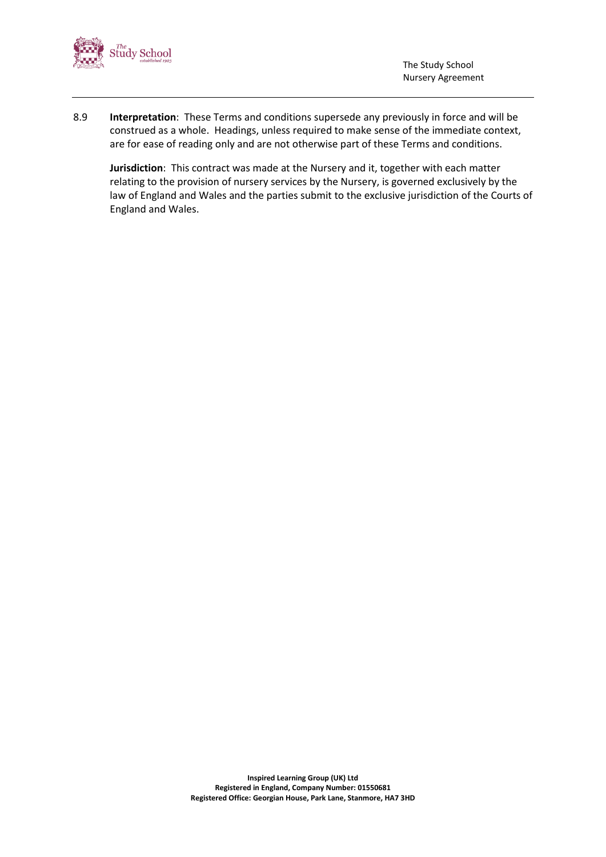

8.9 **Interpretation**: These Terms and conditions supersede any previously in force and will be construed as a whole. Headings, unless required to make sense of the immediate context, are for ease of reading only and are not otherwise part of these Terms and conditions.

**Jurisdiction**: This contract was made at the Nursery and it, together with each matter relating to the provision of nursery services by the Nursery, is governed exclusively by the law of England and Wales and the parties submit to the exclusive jurisdiction of the Courts of England and Wales.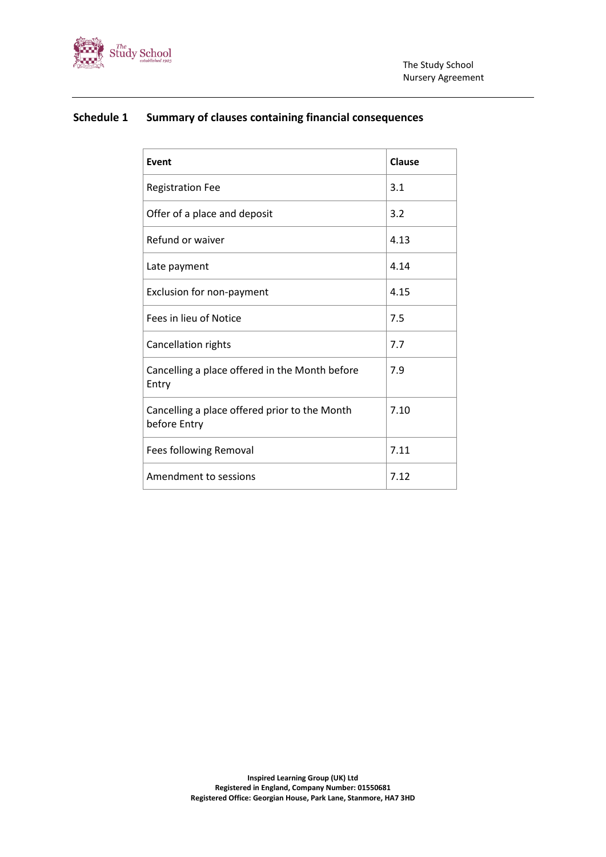

## **Schedule 1 Summary of clauses containing financial consequences**

| Event                                                         | Clause |
|---------------------------------------------------------------|--------|
| <b>Registration Fee</b>                                       | 3.1    |
| Offer of a place and deposit                                  | 3.2    |
| Refund or waiver                                              | 4.13   |
| Late payment                                                  | 4.14   |
| Exclusion for non-payment                                     | 4.15   |
| Fees in lieu of Notice                                        | 7.5    |
| <b>Cancellation rights</b>                                    | 7.7    |
| Cancelling a place offered in the Month before<br>Entry       | 7.9    |
| Cancelling a place offered prior to the Month<br>before Entry | 7.10   |
| Fees following Removal                                        | 7.11   |
| Amendment to sessions                                         | 7.12   |